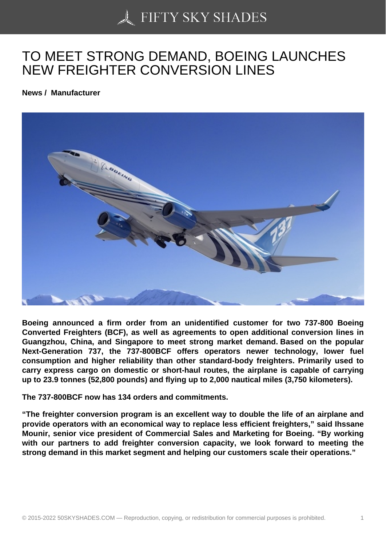## [TO MEET STRONG D](https://50skyshades.com)EMAND, BOEING LAUNCHES NEW FREIGHTER CONVERSION LINES

News / Manufacturer

Boeing announced a firm order from an unidentified customer for two 737-800 Boeing Converted Freighters (BCF), as well as agreements to open additional conversion lines in Guangzhou, China, and Singapore to meet strong market demand. Based on the popular Next-Generation 737, the 737-800BCF offers operators newer technology, lower fuel consumption and higher reliability than other standard-body freighters. Primarily used to carry express cargo on domestic or short-haul routes, the airplane is capable of carrying up to 23.9 tonnes (52,800 pounds) and flying up to 2,000 nautical miles (3,750 kilometers).

The 737-800BCF now has 134 orders and commitments.

"The freighter conversion program is an excellent way to double the life of an airplane and provide operators with an economical way to replace less efficient freighters," said Ihssane Mounir, senior vice president of Commercial Sales and Marketing for Boeing. "By working with our partners to add freighter conversion capacity, we look forward to meeting the strong demand in this market segment and helping our customers scale their operations."